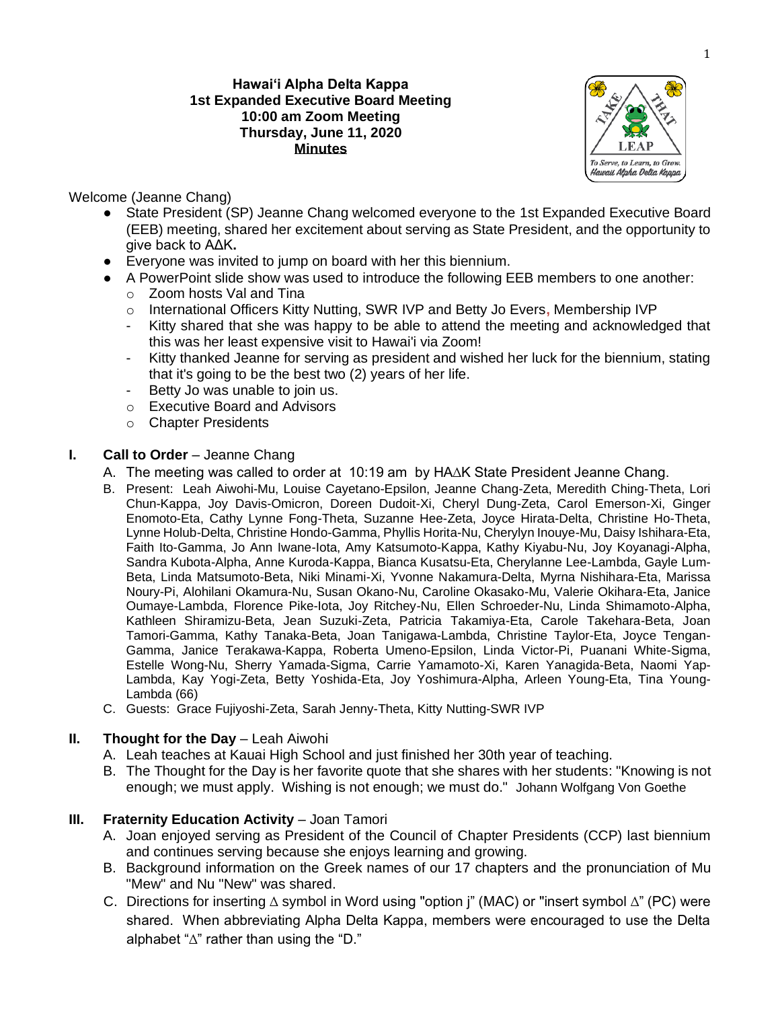#### **Hawaiʻi Alpha Delta Kappa 1st Expanded Executive Board Meeting 10:00 am Zoom Meeting Thursday, June 11, 2020 Minutes**



Welcome (Jeanne Chang)

- State President (SP) Jeanne Chang welcomed everyone to the 1st Expanded Executive Board (EEB) meeting, shared her excitement about serving as State President, and the opportunity to give back to AΔK**.**
- Everyone was invited to jump on board with her this biennium.
- A PowerPoint slide show was used to introduce the following EEB members to one another:
	- o Zoom hosts Val and Tina
	- o International Officers Kitty Nutting, SWR IVP and Betty Jo Evers**,** Membership IVP
	- Kitty shared that she was happy to be able to attend the meeting and acknowledged that this was her least expensive visit to Hawai'i via Zoom!
	- Kitty thanked Jeanne for serving as president and wished her luck for the biennium, stating that it's going to be the best two (2) years of her life.
	- Betty Jo was unable to join us.
	- o Executive Board and Advisors
	- o Chapter Presidents

## **I. Call to Order** – Jeanne Chang

- A. The meeting was called to order at 10:19 am by HA∆K State President Jeanne Chang.
- B. Present: Leah Aiwohi-Mu, Louise Cayetano-Epsilon, Jeanne Chang-Zeta, Meredith Ching-Theta, Lori Chun-Kappa, Joy Davis-Omicron, Doreen Dudoit-Xi, Cheryl Dung-Zeta, Carol Emerson-Xi, Ginger Enomoto-Eta, Cathy Lynne Fong-Theta, Suzanne Hee-Zeta, Joyce Hirata-Delta, Christine Ho-Theta, Lynne Holub-Delta, Christine Hondo-Gamma, Phyllis Horita-Nu, Cherylyn Inouye-Mu, Daisy Ishihara-Eta, Faith Ito-Gamma, Jo Ann Iwane-Iota, Amy Katsumoto-Kappa, Kathy Kiyabu-Nu, Joy Koyanagi-Alpha, Sandra Kubota-Alpha, Anne Kuroda-Kappa, Bianca Kusatsu-Eta, Cherylanne Lee-Lambda, Gayle Lum-Beta, Linda Matsumoto-Beta, Niki Minami-Xi, Yvonne Nakamura-Delta, Myrna Nishihara-Eta, Marissa Noury-Pi, Alohilani Okamura-Nu, Susan Okano-Nu, Caroline Okasako-Mu, Valerie Okihara-Eta, Janice Oumaye-Lambda, Florence Pike-Iota, Joy Ritchey-Nu, Ellen Schroeder-Nu, Linda Shimamoto-Alpha, Kathleen Shiramizu-Beta, Jean Suzuki-Zeta, Patricia Takamiya-Eta, Carole Takehara-Beta, Joan Tamori-Gamma, Kathy Tanaka-Beta, Joan Tanigawa-Lambda, Christine Taylor-Eta, Joyce Tengan-Gamma, Janice Terakawa-Kappa, Roberta Umeno-Epsilon, Linda Victor-Pi, Puanani White-Sigma, Estelle Wong-Nu, Sherry Yamada-Sigma, Carrie Yamamoto-Xi, Karen Yanagida-Beta, Naomi Yap-Lambda, Kay Yogi-Zeta, Betty Yoshida-Eta, Joy Yoshimura-Alpha, Arleen Young-Eta, Tina Young-Lambda (66)
- C. Guests: Grace Fujiyoshi-Zeta, Sarah Jenny-Theta, Kitty Nutting-SWR IVP

# **II. Thought for the Day** – Leah Aiwohi

- A. Leah teaches at Kauai High School and just finished her 30th year of teaching.
- B. The Thought for the Day is her favorite quote that she shares with her students: "Knowing is not enough; we must apply. Wishing is not enough; we must do." Johann Wolfgang Von Goethe

# **III. Fraternity Education Activity** – Joan Tamori

- A. Joan enjoyed serving as President of the Council of Chapter Presidents (CCP) last biennium and continues serving because she enjoys learning and growing.
- B. Background information on the Greek names of our 17 chapters and the pronunciation of Mu "Mew" and Nu "New" was shared.
- C. Directions for inserting ∆ symbol in Word using "option j" (MAC) or "insert symbol ∆" (PC) were shared. When abbreviating Alpha Delta Kappa, members were encouraged to use the Delta alphabet "∆" rather than using the "D."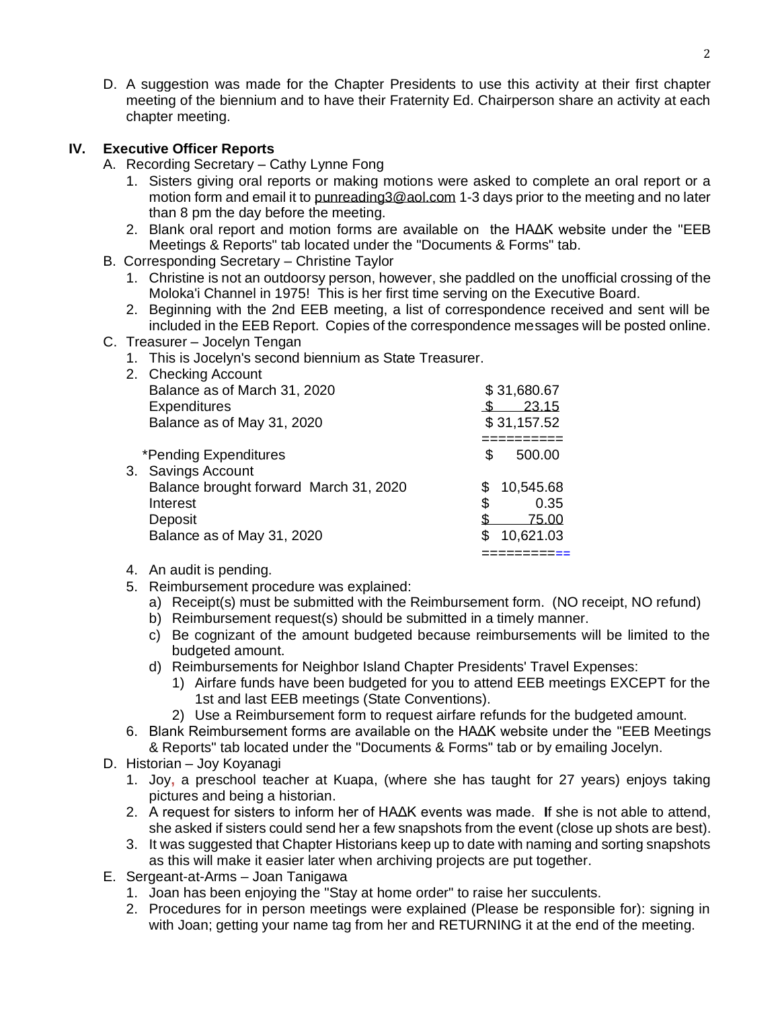D. A suggestion was made for the Chapter Presidents to use this activity at their first chapter meeting of the biennium and to have their Fraternity Ed. Chairperson share an activity at each chapter meeting.

## **IV. Executive Officer Reports**

- A. Recording Secretary Cathy Lynne Fong
	- 1. Sisters giving oral reports or making motions were asked to complete an oral report or a motion form and email it to [punreading3@aol.com](mailto:punreading3@aol.com) 1-3 days prior to the meeting and no later than 8 pm the day before the meeting.
	- 2. Blank oral report and motion forms are available on the HAΔK website under the "EEB Meetings & Reports" tab located under the "Documents & Forms" tab.
- B. Corresponding Secretary Christine Taylor
	- 1. Christine is not an outdoorsy person, however, she paddled on the unofficial crossing of the Moloka'i Channel in 1975! This is her first time serving on the Executive Board.
	- 2. Beginning with the 2nd EEB meeting, a list of correspondence received and sent will be included in the EEB Report. Copies of the correspondence messages will be posted online.

### C. Treasurer – Jocelyn Tengan

1. This is Jocelyn's second biennium as State Treasurer.

| 2. Checking Account<br>Balance as of March 31, 2020<br><b>Expenditures</b> | \$31,680.67<br>23.15 |
|----------------------------------------------------------------------------|----------------------|
| Balance as of May 31, 2020                                                 | \$31,157.52          |
|                                                                            |                      |
| *Pending Expenditures                                                      | 500.00<br>S          |
| 3. Savings Account                                                         |                      |
| Balance brought forward March 31, 2020                                     | 10,545.68            |
| Interest                                                                   | 0.35                 |
| Deposit                                                                    | 75.00                |
| Balance as of May 31, 2020                                                 | 10,621.03            |
|                                                                            |                      |

- 4. An audit is pending.
- 5. Reimbursement procedure was explained:
	- a) Receipt(s) must be submitted with the Reimbursement form. (NO receipt, NO refund)
	- b) Reimbursement request(s) should be submitted in a timely manner.
	- c) Be cognizant of the amount budgeted because reimbursements will be limited to the budgeted amount.
	- d) Reimbursements for Neighbor Island Chapter Presidents' Travel Expenses:
		- 1) Airfare funds have been budgeted for you to attend EEB meetings EXCEPT for the 1st and last EEB meetings (State Conventions).
		- 2) Use a Reimbursement form to request airfare refunds for the budgeted amount.
- 6. Blank Reimbursement forms are available on the HAΔK website under the "EEB Meetings & Reports" tab located under the "Documents & Forms" tab or by emailing Jocelyn.
- D. Historian Joy Koyanagi
	- 1. Joy**,** a preschool teacher at Kuapa, (where she has taught for 27 years) enjoys taking pictures and being a historian.
	- 2. A request for sisters to inform her of HAΔK events was made. **I**f she is not able to attend, she asked if sisters could send her a few snapshots from the event (close up shots are best).
	- 3. It was suggested that Chapter Historians keep up to date with naming and sorting snapshots as this will make it easier later when archiving projects are put together.
- E. Sergeant-at-Arms Joan Tanigawa
	- 1. Joan has been enjoying the "Stay at home order" to raise her succulents.
	- 2. Procedures for in person meetings were explained (Please be responsible for): signing in with Joan; getting your name tag from her and RETURNING it at the end of the meeting.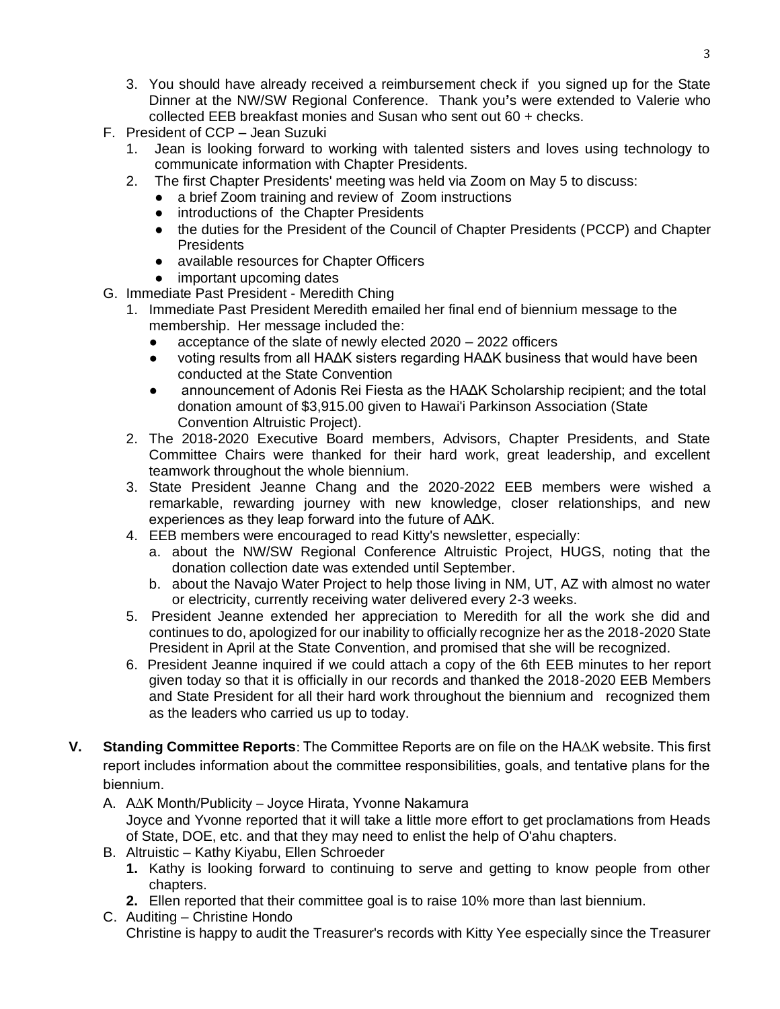- 3. You should have already received a reimbursement check if you signed up for the State Dinner at the NW/SW Regional Conference. Thank you**'**s were extended to Valerie who collected EEB breakfast monies and Susan who sent out 60 + checks.
- F. President of CCP Jean Suzuki
	- 1. Jean is looking forward to working with talented sisters and loves using technology to communicate information with Chapter Presidents.
	- 2. The first Chapter Presidents' meeting was held via Zoom on May 5 to discuss:
		- a brief Zoom training and review of Zoom instructions
		- introductions of the Chapter Presidents
		- the duties for the President of the Council of Chapter Presidents (PCCP) and Chapter **Presidents**
		- available resources for Chapter Officers
		- important upcoming dates
- G. Immediate Past President Meredith Ching
	- 1. Immediate Past President Meredith emailed her final end of biennium message to the membership. Her message included the:
		- acceptance of the slate of newly elected  $2020 2022$  officers
		- voting results from all HAΔK sisters regarding HAΔK business that would have been conducted at the State Convention
		- announcement of Adonis Rei Fiesta as the HAΔK Scholarship recipient; and the total donation amount of \$3,915.00 given to Hawai'i Parkinson Association (State Convention Altruistic Project).
	- 2. The 2018-2020 Executive Board members, Advisors, Chapter Presidents, and State Committee Chairs were thanked for their hard work, great leadership, and excellent teamwork throughout the whole biennium.
	- 3. State President Jeanne Chang and the 2020-2022 EEB members were wished a remarkable, rewarding journey with new knowledge, closer relationships, and new experiences as they leap forward into the future of AΔK.
	- 4. EEB members were encouraged to read Kitty's newsletter, especially:
		- a. about the NW/SW Regional Conference Altruistic Project, HUGS, noting that the donation collection date was extended until September.
		- b. about the Navajo Water Project to help those living in NM, UT, AZ with almost no water or electricity, currently receiving water delivered every 2-3 weeks.
	- 5. President Jeanne extended her appreciation to Meredith for all the work she did and continues to do, apologized for our inability to officially recognize her as the 2018-2020 State President in April at the State Convention, and promised that she will be recognized.
	- 6. President Jeanne inquired if we could attach a copy of the 6th EEB minutes to her report given today so that it is officially in our records and thanked the 2018-2020 EEB Members and State President for all their hard work throughout the biennium and recognized them as the leaders who carried us up to today.
- **V. Standing Committee Reports**: The Committee Reports are on file on the HA∆K website. This first report includes information about the committee responsibilities, goals, and tentative plans for the biennium.
	- A. A∆K Month/Publicity Joyce Hirata, Yvonne Nakamura Joyce and Yvonne reported that it will take a little more effort to get proclamations from Heads of State, DOE, etc. and that they may need to enlist the help of O'ahu chapters.
	- B. Altruistic Kathy Kiyabu, Ellen Schroeder
		- **1.** Kathy is looking forward to continuing to serve and getting to know people from other chapters.
		- **2.** Ellen reported that their committee goal is to raise 10% more than last biennium.
	- C. Auditing Christine Hondo Christine is happy to audit the Treasurer's records with Kitty Yee especially since the Treasurer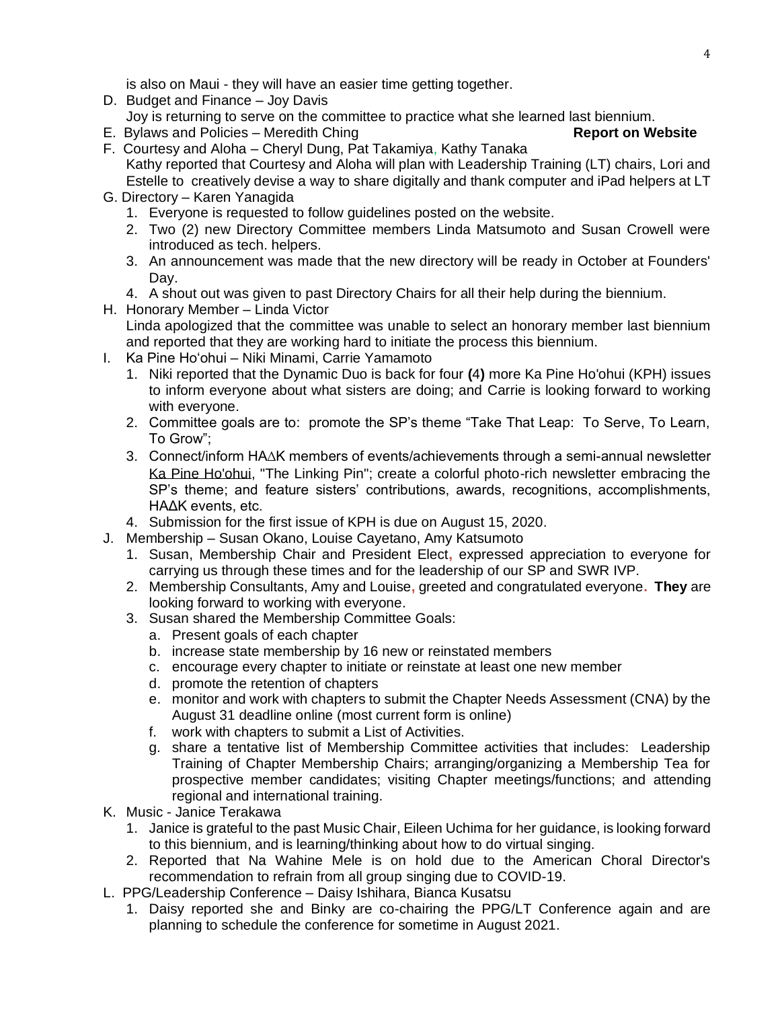is also on Maui - they will have an easier time getting together.

- D. Budget and Finance Joy Davis Joy is returning to serve on the committee to practice what she learned last biennium.
- E. Bylaws and Policies Meredith Ching **Report on Website**
- F. Courtesy and Aloha Cheryl Dung, Pat Takamiya, Kathy Tanaka Kathy reported that Courtesy and Aloha will plan with Leadership Training (LT) chairs, Lori and Estelle to creatively devise a way to share digitally and thank computer and iPad helpers at LT
- G. Directory Karen Yanagida
	- 1. Everyone is requested to follow guidelines posted on the website.
	- 2. Two (2) new Directory Committee members Linda Matsumoto and Susan Crowell were introduced as tech. helpers.
	- 3. An announcement was made that the new directory will be ready in October at Founders' Day.
	- 4. A shout out was given to past Directory Chairs for all their help during the biennium.
- H. Honorary Member Linda Victor
	- Linda apologized that the committee was unable to select an honorary member last biennium and reported that they are working hard to initiate the process this biennium.
- I. Ka Pine Hoʻohui Niki Minami, Carrie Yamamoto
	- 1. Niki reported that the Dynamic Duo is back for four **(**4**)** more Ka Pine Ho'ohui (KPH) issues to inform everyone about what sisters are doing; and Carrie is looking forward to working with everyone.
	- 2. Committee goals are to: promote the SP's theme "Take That Leap: To Serve, To Learn, To Grow";
	- 3. Connect/inform HA∆K members of events/achievements through a semi-annual newsletter Ka Pine Ho'ohui, "The Linking Pin"; create a colorful photo-rich newsletter embracing the SP's theme; and feature sisters' contributions, awards, recognitions, accomplishments, HAΔK events, etc.
	- 4. Submission for the first issue of KPH is due on August 15, 2020.
- J. Membership Susan Okano, Louise Cayetano, Amy Katsumoto
	- 1. Susan, Membership Chair and President Elect**,** expressed appreciation to everyone for carrying us through these times and for the leadership of our SP and SWR IVP.
	- 2. Membership Consultants, Amy and Louise**,** greeted and congratulated everyone**. They** are looking forward to working with everyone.
	- 3. Susan shared the Membership Committee Goals:
		- a. Present goals of each chapter
		- b. increase state membership by 16 new or reinstated members
		- c. encourage every chapter to initiate or reinstate at least one new member
		- d. promote the retention of chapters
		- e. monitor and work with chapters to submit the Chapter Needs Assessment (CNA) by the August 31 deadline online (most current form is online)
		- f. work with chapters to submit a List of Activities.
		- g. share a tentative list of Membership Committee activities that includes: Leadership Training of Chapter Membership Chairs; arranging/organizing a Membership Tea for prospective member candidates; visiting Chapter meetings/functions; and attending regional and international training.
- K. Music Janice Terakawa
	- 1. Janice is grateful to the past Music Chair, Eileen Uchima for her guidance, is looking forward to this biennium, and is learning/thinking about how to do virtual singing.
	- 2. Reported that Na Wahine Mele is on hold due to the American Choral Director's recommendation to refrain from all group singing due to COVID-19.
- L. PPG/Leadership Conference Daisy Ishihara, Bianca Kusatsu
	- 1. Daisy reported she and Binky are co-chairing the PPG/LT Conference again and are planning to schedule the conference for sometime in August 2021.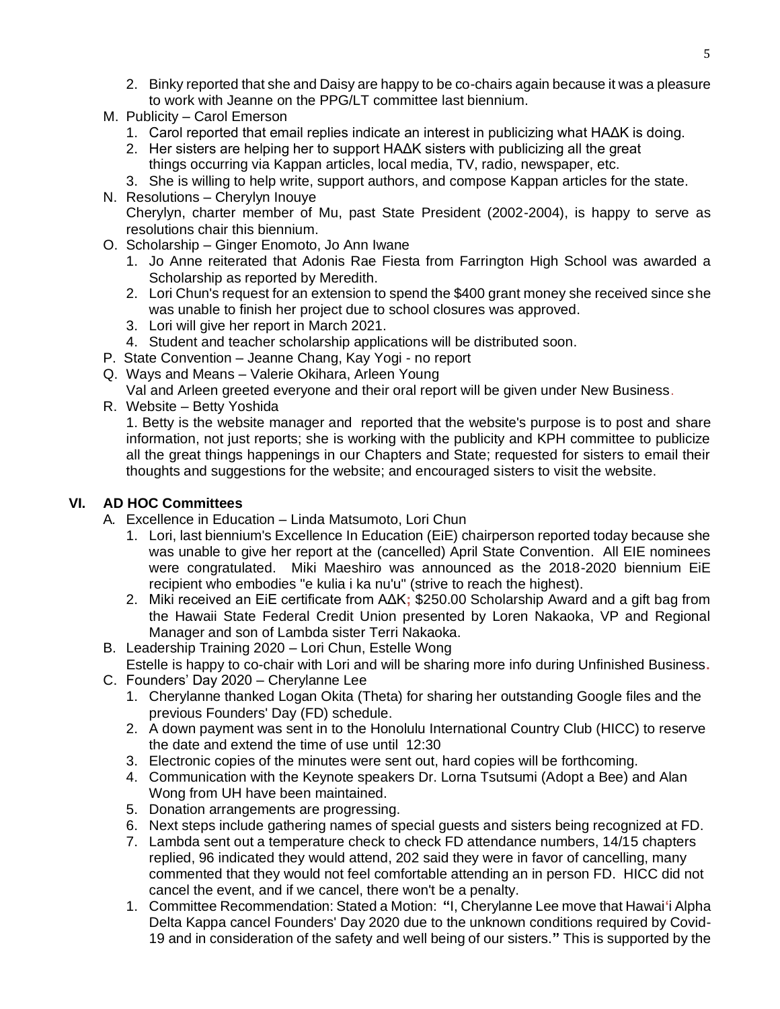- 2. Binky reported that she and Daisy are happy to be co-chairs again because it was a pleasure to work with Jeanne on the PPG/LT committee last biennium.
- M. Publicity Carol Emerson
	- 1. Carol reported that email replies indicate an interest in publicizing what HAΔK is doing.
	- 2. Her sisters are helping her to support HAΔK sisters with publicizing all the great things occurring via Kappan articles, local media, TV, radio, newspaper, etc.
	- 3. She is willing to help write, support authors, and compose Kappan articles for the state.
- N. Resolutions Cherylyn Inouye Cherylyn, charter member of Mu, past State President (2002-2004), is happy to serve as resolutions chair this biennium.
- O. Scholarship Ginger Enomoto, Jo Ann Iwane
	- 1. Jo Anne reiterated that Adonis Rae Fiesta from Farrington High School was awarded a Scholarship as reported by Meredith.
	- 2. Lori Chun's request for an extension to spend the \$400 grant money she received since she was unable to finish her project due to school closures was approved.
	- 3. Lori will give her report in March 2021.
	- 4. Student and teacher scholarship applications will be distributed soon.
- P. State Convention Jeanne Chang, Kay Yogi no report
- Q. Ways and Means Valerie Okihara, Arleen Young Val and Arleen greeted everyone and their oral report will be given under New Business.
	-
- R. Website Betty Yoshida

1. Betty is the website manager and reported that the website's purpose is to post and share information, not just reports; she is working with the publicity and KPH committee to publicize all the great things happenings in our Chapters and State; requested for sisters to email their thoughts and suggestions for the website; and encouraged sisters to visit the website.

## **VI. AD HOC Committees**

A*.* Excellence in Education – Linda Matsumoto, Lori Chun

- 1. Lori, last biennium's Excellence In Education (EiE) chairperson reported today because she was unable to give her report at the (cancelled) April State Convention. All EIE nominees were congratulated. Miki Maeshiro was announced as the 2018-2020 biennium EiE recipient who embodies "e kulia i ka nu'u" (strive to reach the highest).
- 2. Miki received an EiE certificate from AΔK**;** \$250.00 Scholarship Award and a gift bag from the Hawaii State Federal Credit Union presented by Loren Nakaoka, VP and Regional Manager and son of Lambda sister Terri Nakaoka.
- B. Leadership Training 2020 Lori Chun, Estelle Wong
- Estelle is happy to co-chair with Lori and will be sharing more info during Unfinished Business**.** C. Founders' Day 2020 – Cherylanne Lee
	- 1. Cherylanne thanked Logan Okita (Theta) for sharing her outstanding Google files and the previous Founders' Day (FD) schedule.
	- 2. A down payment was sent in to the Honolulu International Country Club (HICC) to reserve the date and extend the time of use until 12:30
	- 3. Electronic copies of the minutes were sent out, hard copies will be forthcoming.
	- 4. Communication with the Keynote speakers Dr. Lorna Tsutsumi (Adopt a Bee) and Alan Wong from UH have been maintained.
	- 5. Donation arrangements are progressing.
	- 6. Next steps include gathering names of special guests and sisters being recognized at FD.
	- 7. Lambda sent out a temperature check to check FD attendance numbers, 14/15 chapters replied, 96 indicated they would attend, 202 said they were in favor of cancelling, many commented that they would not feel comfortable attending an in person FD. HICC did not cancel the event, and if we cancel, there won't be a penalty.
	- 1. Committee Recommendation: Stated a Motion: **"**I, Cherylanne Lee move that Hawai**ʻ**i Alpha Delta Kappa cancel Founders' Day 2020 due to the unknown conditions required by Covid-19 and in consideration of the safety and well being of our sisters.**"** This is supported by the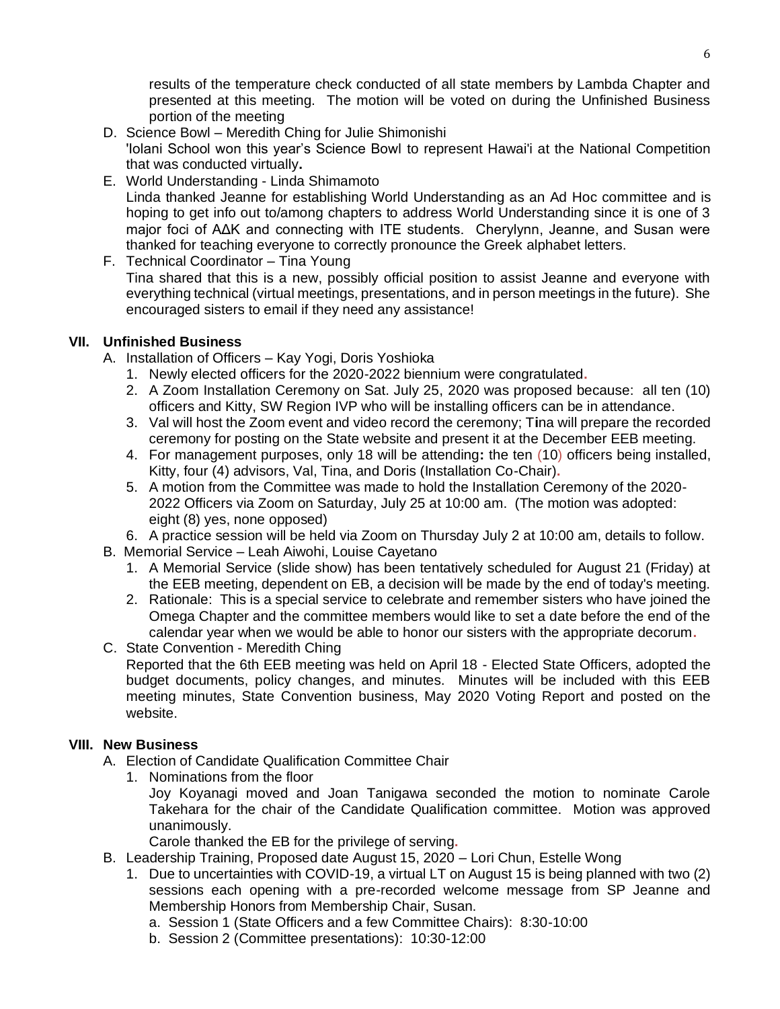results of the temperature check conducted of all state members by Lambda Chapter and presented at this meeting. The motion will be voted on during the Unfinished Business portion of the meeting

- D. Science Bowl Meredith Ching for Julie Shimonishi 'Iolani School won this year's Science Bowl to represent Hawai'i at the National Competition that was conducted virtually**.**
- E. World Understanding Linda Shimamoto Linda thanked Jeanne for establishing World Understanding as an Ad Hoc committee and is hoping to get info out to/among chapters to address World Understanding since it is one of 3 major foci of AΔK and connecting with ITE students. Cherylynn, Jeanne, and Susan were thanked for teaching everyone to correctly pronounce the Greek alphabet letters.
- F. Technical Coordinator Tina Young Tina shared that this is a new, possibly official position to assist Jeanne and everyone with everything technical (virtual meetings, presentations, and in person meetings in the future). She encouraged sisters to email if they need any assistance!

## **VII. Unfinished Business**

- A. Installation of Officers Kay Yogi, Doris Yoshioka
	- 1. Newly elected officers for the 2020-2022 biennium were congratulated**.**
	- 2. A Zoom Installation Ceremony on Sat. July 25, 2020 was proposed because: all ten (10) officers and Kitty, SW Region IVP who will be installing officers can be in attendance.
	- 3. Val will host the Zoom event and video record the ceremony; T**i**na will prepare the recorded ceremony for posting on the State website and present it at the December EEB meeting.
	- 4. For management purposes, only 18 will be attending**:** the ten (10) officers being installed, Kitty, four (4) advisors, Val, Tina, and Doris (Installation Co-Chair)**.**
	- 5. A motion from the Committee was made to hold the Installation Ceremony of the 2020- 2022 Officers via Zoom on Saturday, July 25 at 10:00 am. (The motion was adopted: eight (8) yes, none opposed)
	- 6. A practice session will be held via Zoom on Thursday July 2 at 10:00 am, details to follow.
- B. Memorial Service Leah Aiwohi, Louise Cayetano
	- 1. A Memorial Service (slide show) has been tentatively scheduled for August 21 (Friday) at the EEB meeting, dependent on EB, a decision will be made by the end of today's meeting.
	- 2. Rationale: This is a special service to celebrate and remember sisters who have joined the Omega Chapter and the committee members would like to set a date before the end of the calendar year when we would be able to honor our sisters with the appropriate decorum**.**
- C. State Convention Meredith Ching Reported that the 6th EEB meeting was held on April 18 - Elected State Officers, adopted the budget documents, policy changes, and minutes. Minutes will be included with this EEB meeting minutes, State Convention business, May 2020 Voting Report and posted on the website.

# **VIII. New Business**

- A. Election of Candidate Qualification Committee Chair
	- 1. Nominations from the floor
		- Joy Koyanagi moved and Joan Tanigawa seconded the motion to nominate Carole Takehara for the chair of the Candidate Qualification committee. Motion was approved unanimously.

Carole thanked the EB for the privilege of serving**.**

- B. Leadership Training, Proposed date August 15, 2020 Lori Chun, Estelle Wong
	- 1. Due to uncertainties with COVID-19, a virtual LT on August 15 is being planned with two (2) sessions each opening with a pre-recorded welcome message from SP Jeanne and Membership Honors from Membership Chair, Susan.
		- a. Session 1 (State Officers and a few Committee Chairs): 8:30-10:00
		- b. Session 2 (Committee presentations): 10:30-12:00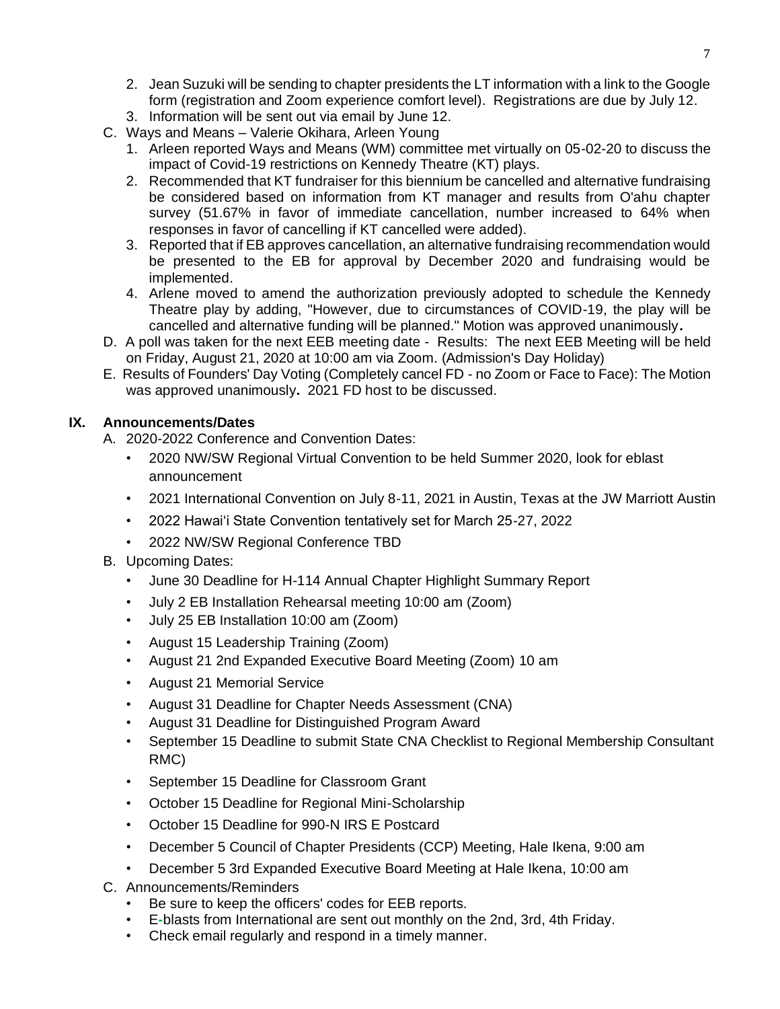- 2. Jean Suzuki will be sending to chapter presidents the LT information with a link to the Google form (registration and Zoom experience comfort level). Registrations are due by July 12.
- 3. Information will be sent out via email by June 12.
- C. Ways and Means Valerie Okihara, Arleen Young
	- 1. Arleen reported Ways and Means (WM) committee met virtually on 05-02-20 to discuss the impact of Covid-19 restrictions on Kennedy Theatre (KT) plays.
	- 2. Recommended that KT fundraiser for this biennium be cancelled and alternative fundraising be considered based on information from KT manager and results from O'ahu chapter survey (51.67% in favor of immediate cancellation, number increased to 64% when responses in favor of cancelling if KT cancelled were added).
	- 3. Reported that if EB approves cancellation, an alternative fundraising recommendation would be presented to the EB for approval by December 2020 and fundraising would be implemented.
	- 4. Arlene moved to amend the authorization previously adopted to schedule the Kennedy Theatre play by adding, "However, due to circumstances of COVID-19, the play will be cancelled and alternative funding will be planned." Motion was approved unanimously**.**
- D. A poll was taken for the next EEB meeting date Results: The next EEB Meeting will be held on Friday, August 21, 2020 at 10:00 am via Zoom. (Admission's Day Holiday)
- E. Results of Founders' Day Voting (Completely cancel FD no Zoom or Face to Face): The Motion was approved unanimously**.** 2021 FD host to be discussed.

## **IX. Announcements/Dates**

- A. 2020-2022 Conference and Convention Dates:
	- 2020 NW/SW Regional Virtual Convention to be held Summer 2020, look for eblast announcement
	- 2021 International Convention on July 8-11, 2021 in Austin, Texas at the JW Marriott Austin
	- 2022 Hawaiʻi State Convention tentatively set for March 25-27, 2022
	- 2022 NW/SW Regional Conference TBD
- B. Upcoming Dates:
	- June 30 Deadline for H-114 Annual Chapter Highlight Summary Report
	- July 2 EB Installation Rehearsal meeting 10:00 am (Zoom)
	- July 25 EB Installation 10:00 am (Zoom)
	- August 15 Leadership Training (Zoom)
	- August 21 2nd Expanded Executive Board Meeting (Zoom) 10 am
	- August 21 Memorial Service
	- August 31 Deadline for Chapter Needs Assessment (CNA)
	- August 31 Deadline for Distinguished Program Award
	- September 15 Deadline to submit State CNA Checklist to Regional Membership Consultant RMC)
	- September 15 Deadline for Classroom Grant
	- October 15 Deadline for Regional Mini-Scholarship
	- October 15 Deadline for 990-N IRS E Postcard
	- December 5 Council of Chapter Presidents (CCP) Meeting, Hale Ikena, 9:00 am
	- December 5 3rd Expanded Executive Board Meeting at Hale Ikena, 10:00 am
- C. Announcements/Reminders
	- Be sure to keep the officers' codes for EEB reports.
	- E**-**blasts from International are sent out monthly on the 2nd, 3rd, 4th Friday.
	- Check email regularly and respond in a timely manner.